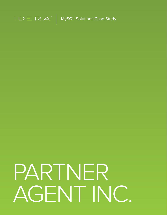

# PARTNER AGENT INC.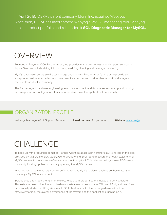In April 2018, IDERA's parent company Idera, Inc. acquired Webyog. Since then, IDERA has incorporated Webyog's MySQL monitoring tool "Monyog" into its product portfolio and rebranded it **SQL Diagnostic Manager for MySQL.**

## OVERVIEW

Founded in Tokyo in 2006, Partner Agent, Inc. provides marriage information and support services in Japan. Services include dating introductions, wedding planning and marriage counseling.

MySQL database servers are the technology backbone for Partner Agent's mission to provide an exceptional customer experience, so any downtime can cause considerable reputation damage and revenue losses for the company.

The Partner Agent database engineering team must ensure that database servers are up and running and keep a tab on configurations that can otherwise cause the application to run slowly.

## ORGANIZATON PROFILE

**Industry** Marriage Info & Support Services **Headquarters** Tokyo, Japan **Website** [www.p-a.jp](https://www.p-a.jp/)

# CHALLENGE

To keep up with production demands, Partner Agent database administrators (DBAs) relied on the logs provided by MySQL like Slow Query, General Query and Error log to measure the health status of their MySQL servers in the absence of a database monitoring tool. This reliance on logs meant DBAs were constantly looking up files or manually querying the MySQL tables.

In addition, the team was required to configure specific MySQL default variables so they match the company's MySQL environment.

SQL queries often took a long time to execute due to improper use of indexes or query structure. This extended execution time could exhaust system resources (such as CPU and RAM), and machines occasionally started throttling. As a result, DBAs had to monitor the prolonged execution time effectively to track the overall performance of the system and the applications running on it.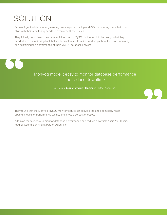# SOLUTION

Partner Agent's database engineering team explored multiple MySQL monitoring tools that could align with their monitoring needs to overcome these issues.

They initially considered the commercial version of MySQL but found it to be costly. What they needed was a monitoring tool that spots problems in less time and helps them focus on improving and sustaining the performance of their MySQL database servers.



### Monyog made it easy to monitor database performance and reduce downtime.

Yuji Tajima **Lead of System Planning** at Partner Agent Inc.

They found that the Monyog MySQL monitor feature set allowed them to seamlessly reach optimum levels of performance tuning, and it was also cost effective.

"Monyog made it easy to monitor database performance and reduce downtime," said Yuji Tajima, lead of system planning at Partner Agent Inc.